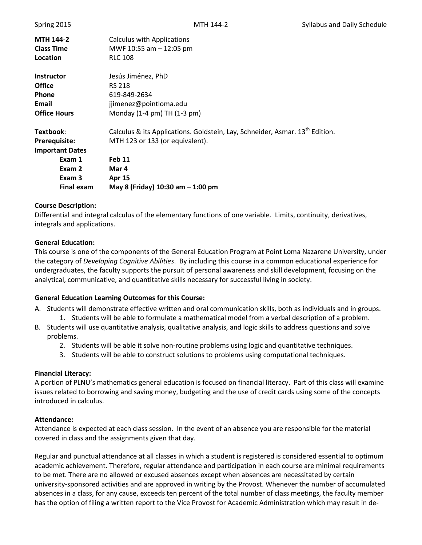|  | Spring 2015 |
|--|-------------|
|  |             |

| <b>MTH 144-2</b>       | <b>Calculus with Applications</b>                                                        |
|------------------------|------------------------------------------------------------------------------------------|
| <b>Class Time</b>      | MWF 10:55 am - 12:05 pm                                                                  |
| Location               | <b>RLC 108</b>                                                                           |
| <b>Instructor</b>      | Jesús Jiménez, PhD                                                                       |
| <b>Office</b>          | <b>RS 218</b>                                                                            |
| <b>Phone</b>           | 619-849-2634                                                                             |
| Email                  | jjimenez@pointloma.edu                                                                   |
| <b>Office Hours</b>    | Monday (1-4 pm) TH (1-3 pm)                                                              |
| Textbook:              | Calculus & its Applications. Goldstein, Lay, Schneider, Asmar. 13 <sup>th</sup> Edition. |
| <b>Prerequisite:</b>   | MTH 123 or 133 (or equivalent).                                                          |
| <b>Important Dates</b> |                                                                                          |
| Exam 1                 | <b>Feb 11</b>                                                                            |
| Exam 2                 | Mar 4                                                                                    |
| Exam 3                 | <b>Apr 15</b>                                                                            |
| <b>Final exam</b>      | May 8 (Friday) $10:30$ am $-1:00$ pm                                                     |

#### **Course Description:**

Differential and integral calculus of the elementary functions of one variable. Limits, continuity, derivatives, integrals and applications.

#### **General Education:**

This course is one of the components of the General Education Program at Point Loma Nazarene University, under the category of *Developing Cognitive Abilities*. By including this course in a common educational experience for undergraduates, the faculty supports the pursuit of personal awareness and skill development, focusing on the analytical, communicative, and quantitative skills necessary for successful living in society.

#### **General Education Learning Outcomes for this Course:**

- A. Students will demonstrate effective written and oral communication skills, both as individuals and in groups. 1. Students will be able to formulate a mathematical model from a verbal description of a problem.
- B. Students will use quantitative analysis, qualitative analysis, and logic skills to address questions and solve problems.
	- 2. Students will be able it solve non-routine problems using logic and quantitative techniques.
	- 3. Students will be able to construct solutions to problems using computational techniques.

#### **Financial Literacy:**

A portion of PLNU's mathematics general education is focused on financial literacy. Part of this class will examine issues related to borrowing and saving money, budgeting and the use of credit cards using some of the concepts introduced in calculus.

#### **Attendance:**

Attendance is expected at each class session. In the event of an absence you are responsible for the material covered in class and the assignments given that day.

Regular and punctual attendance at all classes in which a student is registered is considered essential to optimum academic achievement. Therefore, regular attendance and participation in each course are minimal requirements to be met. There are no allowed or excused absences except when absences are necessitated by certain university-sponsored activities and are approved in writing by the Provost. Whenever the number of accumulated absences in a class, for any cause, exceeds ten percent of the total number of class meetings, the faculty member has the option of filing a written report to the Vice Provost for Academic Administration which may result in de-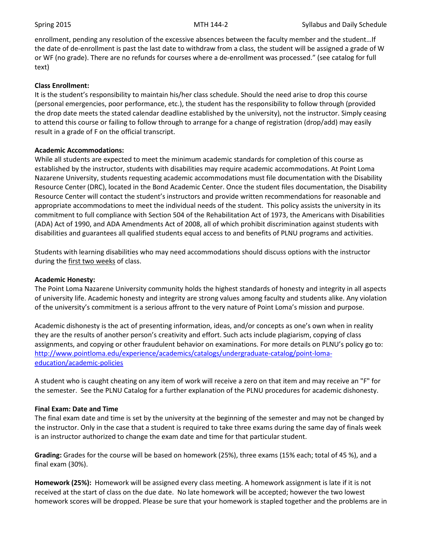enrollment, pending any resolution of the excessive absences between the faculty member and the student…If the date of de-enrollment is past the last date to withdraw from a class, the student will be assigned a grade of W or WF (no grade). There are no refunds for courses where a de-enrollment was processed." (see catalog for full text)

### **Class Enrollment:**

It is the student's responsibility to maintain his/her class schedule. Should the need arise to drop this course (personal emergencies, poor performance, etc.), the student has the responsibility to follow through (provided the drop date meets the stated calendar deadline established by the university), not the instructor. Simply ceasing to attend this course or failing to follow through to arrange for a change of registration (drop/add) may easily result in a grade of F on the official transcript.

#### **Academic Accommodations:**

While all students are expected to meet the minimum academic standards for completion of this course as established by the instructor, students with disabilities may require academic accommodations. At Point Loma Nazarene University, students requesting academic accommodations must file documentation with the Disability Resource Center (DRC), located in the Bond Academic Center. Once the student files documentation, the Disability Resource Center will contact the student's instructors and provide written recommendations for reasonable and appropriate accommodations to meet the individual needs of the student. This policy assists the university in its commitment to full compliance with Section 504 of the Rehabilitation Act of 1973, the Americans with Disabilities (ADA) Act of 1990, and ADA Amendments Act of 2008, all of which prohibit discrimination against students with disabilities and guarantees all qualified students equal access to and benefits of PLNU programs and activities.

Students with learning disabilities who may need accommodations should discuss options with the instructor during the first two weeks of class.

#### **Academic Honesty:**

The Point Loma Nazarene University community holds the highest standards of honesty and integrity in all aspects of university life. Academic honesty and integrity are strong values among faculty and students alike. Any violation of the university's commitment is a serious affront to the very nature of Point Loma's mission and purpose.

Academic dishonesty is the act of presenting information, ideas, and/or concepts as one's own when in reality they are the results of another person's creativity and effort. Such acts include plagiarism, copying of class assignments, and copying or other fraudulent behavior on examinations. For more details on PLNU's policy go to: [http://www.pointloma.edu/experience/academics/catalogs/undergraduate-catalog/point-loma](http://www.pointloma.edu/experience/academics/catalogs/undergraduate-catalog/point-loma-education/academic-policies)[education/academic-policies](http://www.pointloma.edu/experience/academics/catalogs/undergraduate-catalog/point-loma-education/academic-policies)

A student who is caught cheating on any item of work will receive a zero on that item and may receive an "F" for the semester. See the PLNU Catalog for a further explanation of the PLNU procedures for academic dishonesty.

# **Final Exam: Date and Time**

The final exam date and time is set by the university at the beginning of the semester and may not be changed by the instructor. Only in the case that a student is required to take three exams during the same day of finals week is an instructor authorized to change the exam date and time for that particular student.

**Grading:** Grades for the course will be based on homework (25%), three exams (15% each; total of 45 %), and a final exam (30%).

**Homework (25%):** Homework will be assigned every class meeting. A homework assignment is late if it is not received at the start of class on the due date. No late homework will be accepted; however the two lowest homework scores will be dropped. Please be sure that your homework is stapled together and the problems are in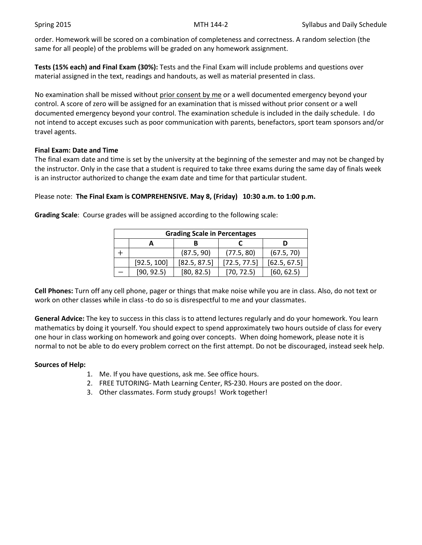order. Homework will be scored on a combination of completeness and correctness. A random selection (the same for all people) of the problems will be graded on any homework assignment.

**Tests (15% each) and Final Exam (30%):** Tests and the Final Exam will include problems and questions over material assigned in the text, readings and handouts, as well as material presented in class.

No examination shall be missed without prior consent by me or a well documented emergency beyond your control. A score of zero will be assigned for an examination that is missed without prior consent or a well documented emergency beyond your control. The examination schedule is included in the daily schedule. I do not intend to accept excuses such as poor communication with parents, benefactors, sport team sponsors and/or travel agents.

### **Final Exam: Date and Time**

The final exam date and time is set by the university at the beginning of the semester and may not be changed by the instructor. Only in the case that a student is required to take three exams during the same day of finals week is an instructor authorized to change the exam date and time for that particular student.

# Please note: **The Final Exam is COMPREHENSIVE. May 8, (Friday) 10:30 a.m. to 1:00 p.m.**

| <b>Grading Scale in Percentages</b> |             |              |              |              |  |
|-------------------------------------|-------------|--------------|--------------|--------------|--|
|                                     |             |              |              |              |  |
|                                     |             | (87.5, 90)   | (77.5, 80)   | (67.5, 70)   |  |
|                                     | [92.5, 100] | [82.5, 87.5] | [72.5, 77.5] | [62.5, 67.5] |  |
|                                     | [90, 92.5]  | [80, 82.5]   | [70, 72.5]   | [60, 62.5]   |  |

**Grading Scale**: Course grades will be assigned according to the following scale:

**Cell Phones:** Turn off any cell phone, pager or things that make noise while you are in class. Also, do not text or work on other classes while in class -to do so is disrespectful to me and your classmates.

**General Advice:** The key to success in this class is to attend lectures regularly and do your homework. You learn mathematics by doing it yourself. You should expect to spend approximately two hours outside of class for every one hour in class working on homework and going over concepts. When doing homework, please note it is normal to not be able to do every problem correct on the first attempt. Do not be discouraged, instead seek help.

# **Sources of Help:**

- 1. Me. If you have questions, ask me. See office hours.
- 2. FREE TUTORING- Math Learning Center, RS-230. Hours are posted on the door.
- 3. Other classmates. Form study groups! Work together!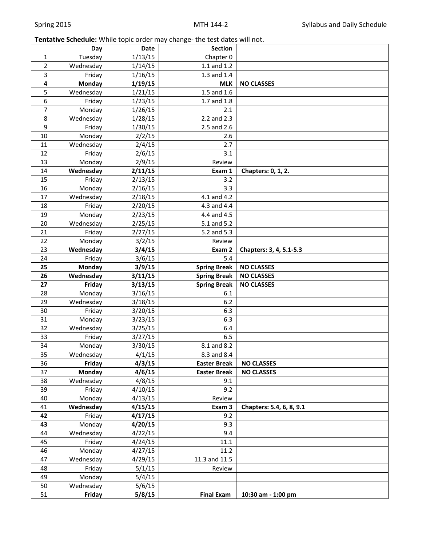# **Tentative Schedule:** While topic order may change- the test dates will not.

|                | Day                 | <b>Date</b>      | <b>Section</b>      |                          |
|----------------|---------------------|------------------|---------------------|--------------------------|
| 1              | Tuesday             | 1/13/15          | Chapter 0           |                          |
| $\overline{2}$ | Wednesday           | 1/14/15          | $1.1$ and $1.2$     |                          |
| 3              | Friday              | 1/16/15          | 1.3 and 1.4         |                          |
| 4              | <b>Monday</b>       | 1/19/15          | <b>MLK</b>          | <b>NO CLASSES</b>        |
| 5              | Wednesday           | 1/21/15          | 1.5 and 1.6         |                          |
| 6              | Friday              | 1/23/15          | 1.7 and 1.8         |                          |
| 7              | Monday              | 1/26/15          | 2.1                 |                          |
| 8              | Wednesday           | 1/28/15          | 2.2 and 2.3         |                          |
| 9              | Friday              | 1/30/15          | 2.5 and 2.6         |                          |
| 10             | Monday              | 2/2/15           | 2.6                 |                          |
| 11             | Wednesday           | 2/4/15           | 2.7                 |                          |
| 12             | Friday              | 2/6/15           | 3.1                 |                          |
| 13             | Monday              | 2/9/15           | Review              |                          |
| 14             | Wednesday           | 2/11/15          | Exam 1              | Chapters: 0, 1, 2.       |
| 15             | Friday              | 2/13/15          | 3.2                 |                          |
| 16             | Monday              | 2/16/15          | 3.3                 |                          |
| 17             | Wednesday           | 2/18/15          | 4.1 and 4.2         |                          |
| 18             | Friday              | 2/20/15          | 4.3 and 4.4         |                          |
| 19             | Monday              | 2/23/15          | 4.4 and 4.5         |                          |
| 20             | Wednesday           | 2/25/15          | 5.1 and 5.2         |                          |
| 21             | Friday              | 2/27/15          | 5.2 and 5.3         |                          |
| 22             | Monday              | 3/2/15           | Review              |                          |
| 23             | Wednesday           | 3/4/15           | Exam 2              | Chapters: 3, 4, 5.1-5.3  |
| 24             | Friday              | 3/6/15           | 5.4                 |                          |
| 25             | <b>Monday</b>       | 3/9/15           | <b>Spring Break</b> | <b>NO CLASSES</b>        |
|                |                     |                  |                     |                          |
| 26             | Wednesday           | 3/11/15          | <b>Spring Break</b> | <b>NO CLASSES</b>        |
| 27             | Friday              | 3/13/15          | <b>Spring Break</b> | <b>NO CLASSES</b>        |
| 28             | Monday              | 3/16/15          | 6.1                 |                          |
| 29             | Wednesday           | 3/18/15          | 6.2                 |                          |
| 30             | Friday              | 3/20/15          | 6.3                 |                          |
| 31             | Monday              | 3/23/15          | 6.3                 |                          |
| 32             | Wednesday           | 3/25/15          | 6.4                 |                          |
| 33             | Friday              | 3/27/15          | 6.5                 |                          |
| 34             | Monday              | 3/30/15          | 8.1 and 8.2         |                          |
| 35             | Wednesday           | 4/1/15           | 8.3 and 8.4         |                          |
| 36             | Friday              | 4/3/15           | <b>Easter Break</b> | <b>NO CLASSES</b>        |
| 37             | Monday              | 4/6/15           | <b>Easter Break</b> | <b>NO CLASSES</b>        |
| 38             | Wednesday           | 4/8/15           | 9.1                 |                          |
| 39             | Friday              | 4/10/15          | 9.2                 |                          |
| 40             | Monday              | 4/13/15          | Review              |                          |
| 41             | Wednesday           | 4/15/15          | Exam 3              | Chapters: 5.4, 6, 8, 9.1 |
| 42             | Friday              | 4/17/15          | 9.2                 |                          |
| 43             | Monday              | 4/20/15          | 9.3                 |                          |
| 44             | Wednesday           | 4/22/15          | 9.4                 |                          |
| 45             | Friday              | 4/24/15          | 11.1                |                          |
| 46             | Monday              | 4/27/15          | 11.2                |                          |
| 47             | Wednesday           | 4/29/15          | 11.3 and 11.5       |                          |
| 48             | Friday              | 5/1/15           | Review              |                          |
| 49             | Monday              | 5/4/15           |                     |                          |
| 50<br>51       | Wednesday<br>Friday | 5/6/15<br>5/8/15 | <b>Final Exam</b>   | 10:30 am - 1:00 pm       |